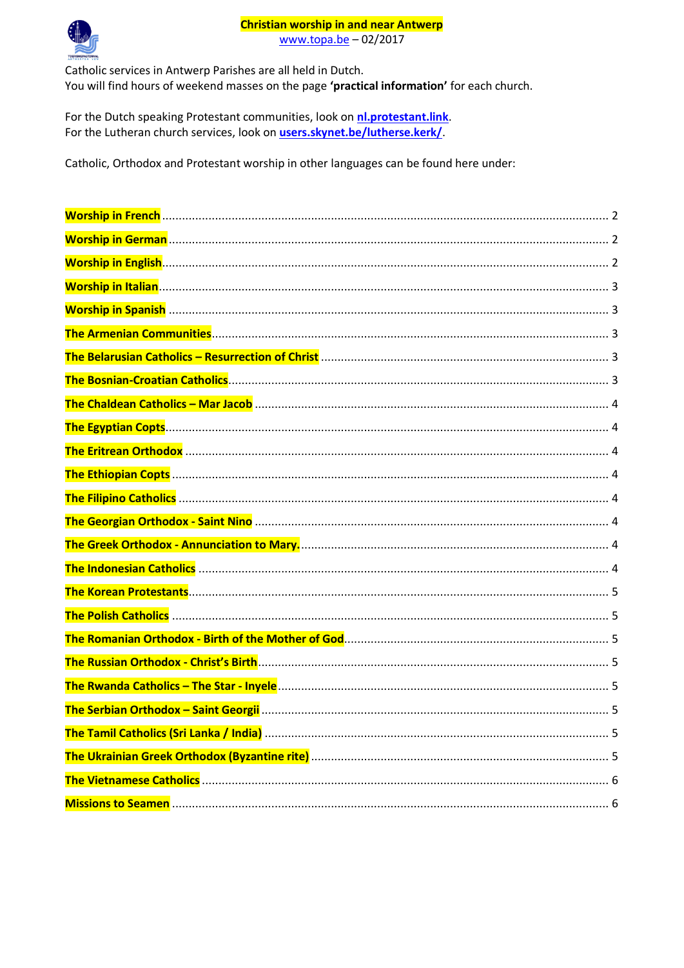#### **Christian worship in and near Antwerp**

www.topa.be - 02/2017



Catholic services in Antwerp Parishes are all held in Dutch. You will find hours of weekend masses on the page 'practical information' for each church.

For the Dutch speaking Protestant communities, look on nl.protestant.link. For the Lutheran church services, look on users.skynet.be/lutherse.kerk/

Catholic, Orthodox and Protestant worship in other languages can be found here under: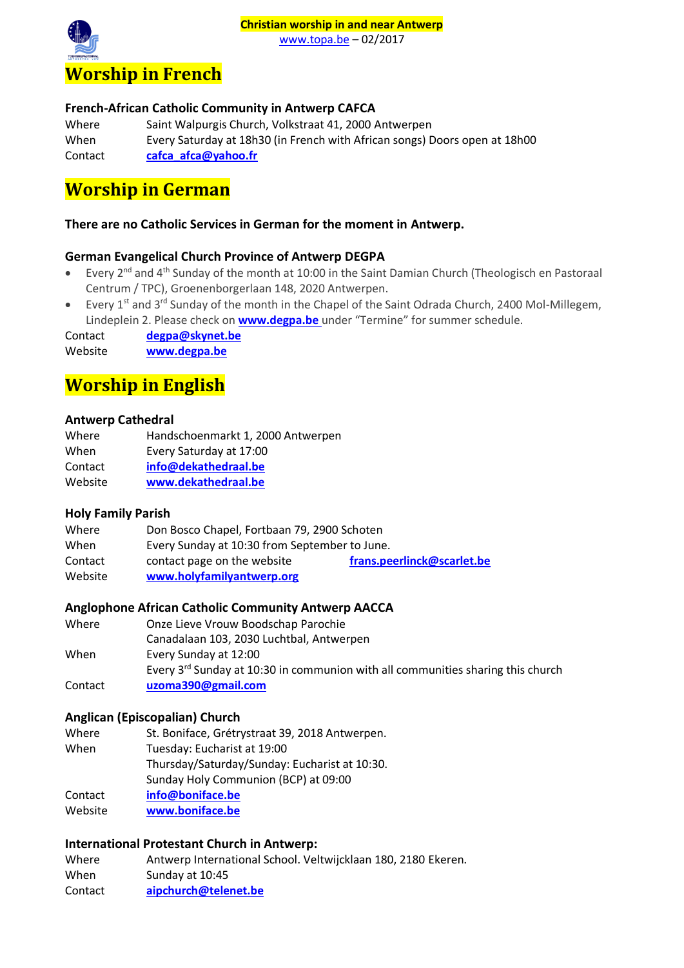# **Christian worship in and near Antwerp**





#### <span id="page-1-0"></span>**French-African Catholic Community in Antwerp CAFCA**

| Where   | Saint Walpurgis Church, Volkstraat 41, 2000 Antwerpen                      |
|---------|----------------------------------------------------------------------------|
| When    | Every Saturday at 18h30 (in French with African songs) Doors open at 18h00 |
| Contact | cafca afca@yahoo.fr                                                        |

## <span id="page-1-1"></span>**Worship in German**

### **There are no Catholic Services in German for the moment in Antwerp.**

### **German Evangelical Church Province of Antwerp DEGPA**

- Every 2<sup>nd</sup> and 4<sup>th</sup> Sunday of the month at 10:00 in the Saint Damian Church (Theologisch en Pastoraal Centrum / TPC), Groenenborgerlaan 148, 2020 Antwerpen.
- Every  $1^{st}$  and  $3^{rd}$  Sunday of the month in the Chapel of the Saint Odrada Church, 2400 Mol-Millegem, Lindeplein 2. Please check on **[www.degpa.be](http://www.degpa.be/)** under "Termine" for summer schedule.

Contact **[degpa@skynet.be](mailto:degpa@skynet.be)** Website **[www.degpa.be](http://www.degpa.be/)**

# <span id="page-1-2"></span>**Worship in English**

#### **Antwerp Cathedral**

| Handschoenmarkt 1, 2000 Antwerpen |
|-----------------------------------|
| Every Saturday at 17:00           |
| info@dekathedraal.be              |
| www.dekathedraal.be               |
|                                   |

#### **Holy Family Parish**

| Where   | Don Bosco Chapel, Fortbaan 79, 2900 Schoten   |                            |
|---------|-----------------------------------------------|----------------------------|
| When    | Every Sunday at 10:30 from September to June. |                            |
| Contact | contact page on the website                   | frans.peerlinck@scarlet.be |
| Website | www.holyfamilyantwerp.org                     |                            |

#### **Anglophone African Catholic Community Antwerp AACCA**

| Where   | Onze Lieve Vrouw Boodschap Parochie                                                  |
|---------|--------------------------------------------------------------------------------------|
|         | Canadalaan 103, 2030 Luchtbal, Antwerpen                                             |
| When    | Every Sunday at 12:00                                                                |
|         | Every $3^{rd}$ Sunday at 10:30 in communion with all communities sharing this church |
| Contact | uzoma390@gmail.com                                                                   |

#### **Anglican (Episcopalian) Church**

- Where St. Boniface, Grétrystraat 39, 2018 Antwerpen. When Tuesday: Eucharist at 19:00 Thursday/Saturday/Sunday: Eucharist at 10:30. Sunday Holy Communion (BCP) at 09:00
- Contact **[info@boniface.be](mailto:info@boniface.be)**
- Website **[www.boniface.be](http://www.boniface.be/)**

### **International Protestant Church in Antwerp:**

Where Antwerp International School. Veltwijcklaan 180, 2180 Ekeren. When Sunday at 10:45 Contact **[aipchurch@telenet.be](mailto:aipchurch@telenet.be)**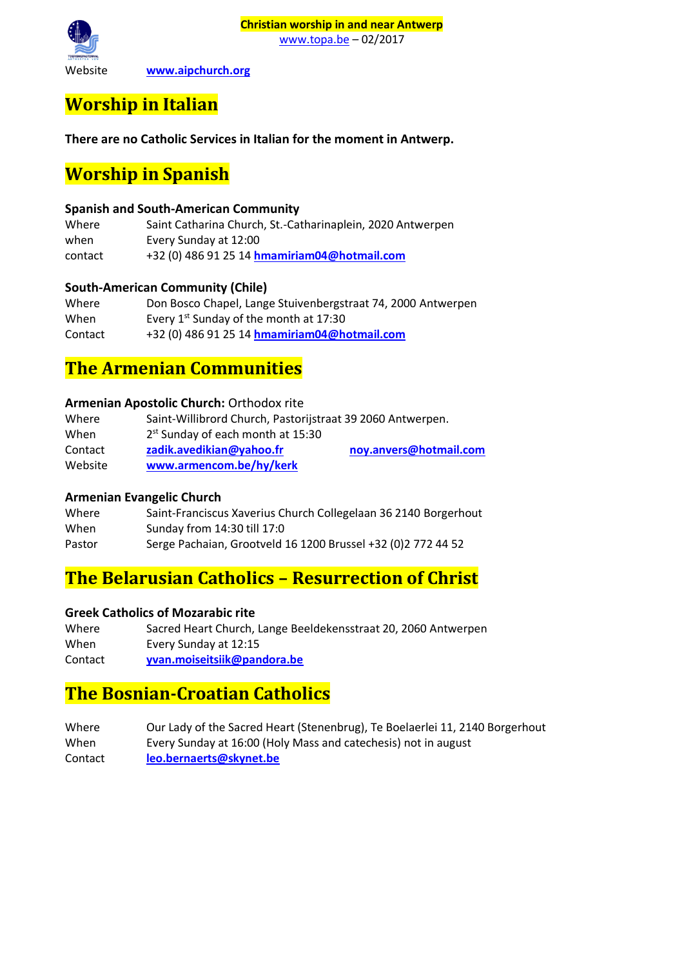

**Christian worship in and near Antwerp** [www.topa.be](http://www.topa.be/) – 02/2017

Website **[www.aipchurch.org](http://www.aipchurch.org/)**

## <span id="page-2-0"></span>**Worship in Italian**

**There are no Catholic Services in Italian for the moment in Antwerp.**

## <span id="page-2-1"></span>**Worship in Spanish**

### **Spanish and South-American Community**

Where Saint Catharina Church, St.-Catharinaplein, 2020 Antwerpen when Every Sunday at 12:00 contact +32 (0) 486 91 25 14 **[hmamiriam04@hotmail.com](mailto:hmamiriam04@hotmail.com)**

### **South-American Community (Chile)**

Where Don Bosco Chapel, Lange Stuivenbergstraat 74, 2000 Antwerpen When Every  $1^{st}$  Sunday of the month at 17:30 Contact +32 (0) 486 91 25 14 **[hmamiriam04@hotmail.com](mailto:hmamiriam04@hotmail.com)**

### <span id="page-2-2"></span>**The Armenian Communities**

#### **Armenian Apostolic Church:** Orthodox rite

| Where   | Saint-Willibrord Church, Pastorijstraat 39 2060 Antwerpen. |                        |
|---------|------------------------------------------------------------|------------------------|
| When    | $2st$ Sunday of each month at 15:30                        |                        |
| Contact | zadik.avedikian@yahoo.fr                                   | noy.anvers@hotmail.com |
| Website | www.armencom.be/hy/kerk                                    |                        |

### **Armenian Evangelic Church**

| Where  | Saint-Franciscus Xaverius Church Collegelaan 36 2140 Borgerhout |
|--------|-----------------------------------------------------------------|
| When   | Sunday from 14:30 till 17:0                                     |
| Pastor | Serge Pachaian, Grootveld 16 1200 Brussel +32 (0) 2 772 44 52   |

## <span id="page-2-3"></span>**The Belarusian Catholics – Resurrection of Christ**

#### **Greek Catholics of Mozarabic rite**

| Where   | Sacred Heart Church, Lange Beeldekensstraat 20, 2060 Antwerpen |
|---------|----------------------------------------------------------------|
| When    | Every Sunday at 12:15                                          |
| Contact | yvan.moiseitsiik@pandora.be                                    |

## <span id="page-2-4"></span>**The Bosnian-Croatian Catholics**

<span id="page-2-5"></span>Where Our Lady of the Sacred Heart (Stenenbrug), Te Boelaerlei 11, 2140 Borgerhout When Every Sunday at 16:00 (Holy Mass and catechesis) not in august Contact **[leo.bernaerts@skynet.be](mailto:leo.bernaerts@skynet.be)**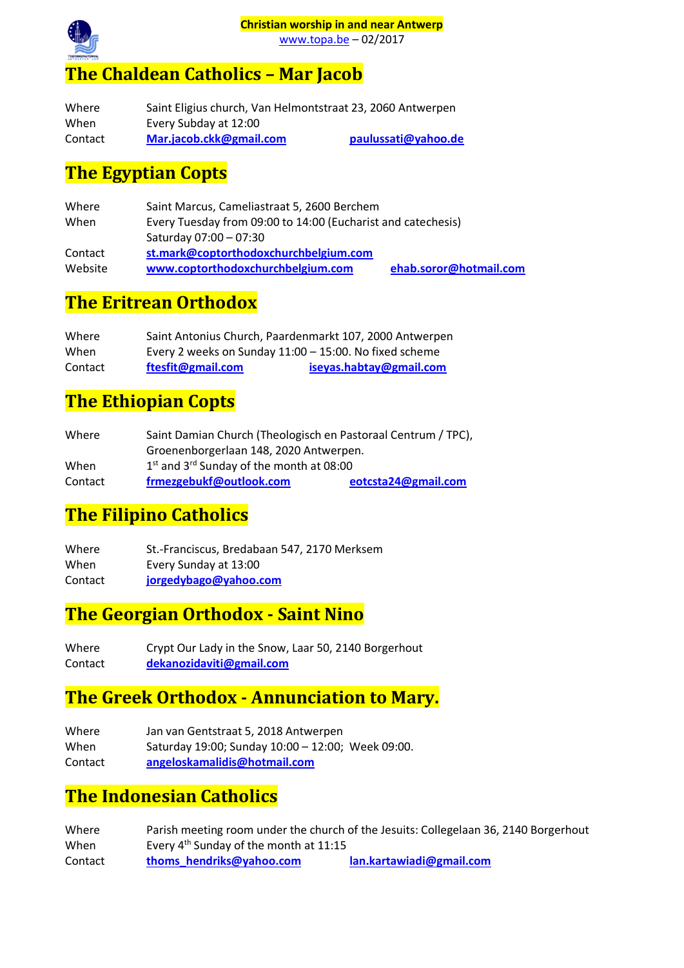

[www.topa.be](http://www.topa.be/) – 02/2017

## **The Chaldean Catholics – Mar Jacob**

| Where   | Saint Eligius church, Van Helmontstraat 23, 2060 Antwerpen |                     |
|---------|------------------------------------------------------------|---------------------|
| When    | Every Subday at 12:00                                      |                     |
| Contact | Mar.jacob.ckk@gmail.com                                    | paulussati@yahoo.de |

## <span id="page-3-0"></span>**The Egyptian Copts**

| Where   | Saint Marcus, Cameliastraat 5, 2600 Berchem                  |                        |  |
|---------|--------------------------------------------------------------|------------------------|--|
| When    | Every Tuesday from 09:00 to 14:00 (Eucharist and catechesis) |                        |  |
|         | Saturday 07:00 - 07:30                                       |                        |  |
| Contact | st.mark@coptorthodoxchurchbelgium.com                        |                        |  |
| Website | www.coptorthodoxchurchbelgium.com                            | ehab.soror@hotmail.com |  |

## <span id="page-3-1"></span>**The Eritrean Orthodox**

| Where   | Saint Antonius Church, Paardenmarkt 107, 2000 Antwerpen   |                         |
|---------|-----------------------------------------------------------|-------------------------|
| When    | Every 2 weeks on Sunday $11:00 - 15:00$ . No fixed scheme |                         |
| Contact | ftesfit@gmail.com                                         | iseyas.habtay@gmail.com |

## <span id="page-3-2"></span>**The Ethiopian Copts**

| Where   | Saint Damian Church (Theologisch en Pastoraal Centrum / TPC), |                     |
|---------|---------------------------------------------------------------|---------------------|
|         | Groenenborgerlaan 148, 2020 Antwerpen.                        |                     |
| When    | $1st$ and $3rd$ Sunday of the month at 08:00                  |                     |
| Contact | frmezgebukf@outlook.com                                       | eotcsta24@gmail.com |

## <span id="page-3-3"></span>**The Filipino Catholics**

Where St.-Franciscus, Bredabaan 547, 2170 Merksem When Every Sunday at 13:00 Contact **[jorgedybago@yahoo.com](mailto:jorgedybago@yahoo.com)**

## <span id="page-3-4"></span>**The Georgian Orthodox - Saint Nino**

Where Crypt Our Lady in the Snow, Laar 50, 2140 Borgerhout Contact **[dekanozidaviti@gmail.com](mailto:dekanozidaviti@gmail.com)**

## <span id="page-3-5"></span>**The Greek Orthodox - Annunciation to Mary.**

| Where   | Jan van Gentstraat 5, 2018 Antwerpen              |
|---------|---------------------------------------------------|
| When    | Saturday 19:00; Sunday 10:00 - 12:00; Week 09:00. |
| Contact | angeloskamalidis@hotmail.com                      |

## <span id="page-3-6"></span>**The Indonesian Catholics**

| Where   |                                          | Parish meeting room under the church of the Jesuits: Collegelaan 36, 2140 Borgerhout |
|---------|------------------------------------------|--------------------------------------------------------------------------------------|
| When    | Every $4th$ Sunday of the month at 11:15 |                                                                                      |
| Contact | thoms hendriks@yahoo.com                 | lan.kartawiadi@gmail.com                                                             |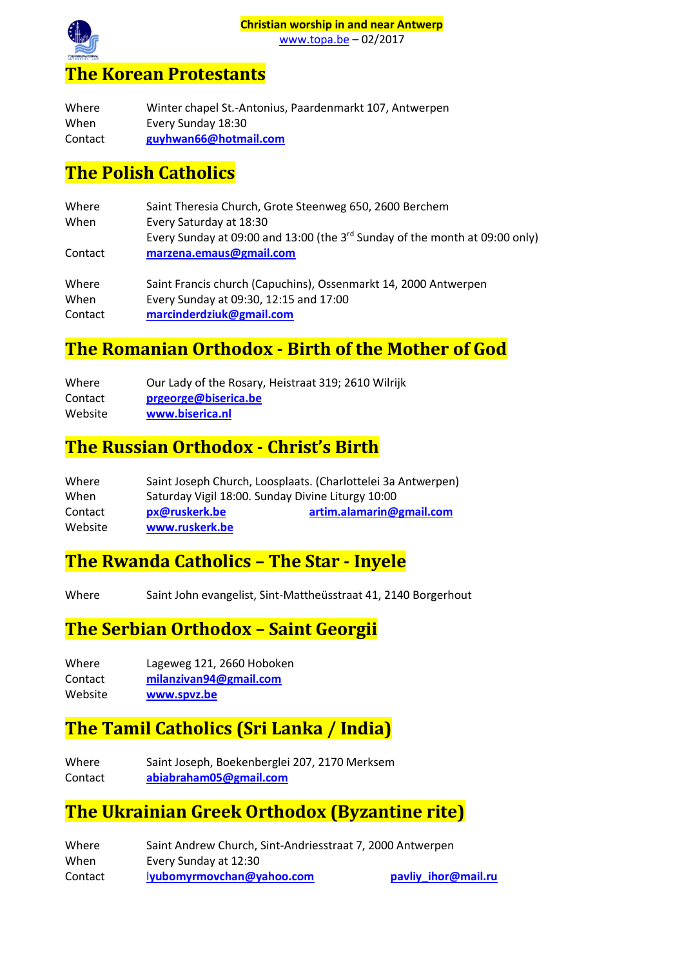

## <span id="page-4-0"></span>**The Korean Protestants**

| Where   | Winter chapel St.-Antonius, Paardenmarkt 107, Antwerpen |
|---------|---------------------------------------------------------|
| When    | Every Sunday 18:30                                      |
| Contact | guyhwan66@hotmail.com                                   |

### <span id="page-4-1"></span>**The Polish Catholics**

| Where<br>When | Saint Theresia Church, Grote Steenweg 650, 2600 Berchem<br>Every Saturday at 18:30<br>Every Sunday at 09:00 and 13:00 (the $3^{rd}$ Sunday of the month at 09:00 only) |
|---------------|------------------------------------------------------------------------------------------------------------------------------------------------------------------------|
| Contact       | marzena.emaus@gmail.com                                                                                                                                                |
| Where         | Saint Francis church (Capuchins), Ossenmarkt 14, 2000 Antwerpen                                                                                                        |
| When          | Every Sunday at 09:30, 12:15 and 17:00                                                                                                                                 |
| Contact       | marcinderdziuk@gmail.com                                                                                                                                               |

### <span id="page-4-2"></span>**The Romanian Orthodox - Birth of the Mother of God**

| Where   | Our Lady of the Rosary, Heistraat 319; 2610 Wilrijk |
|---------|-----------------------------------------------------|
| Contact | prgeorge@biserica.be                                |
| Website | www.biserica.nl                                     |

### <span id="page-4-3"></span>**The Russian Orthodox - Christ's Birth**

| Where   |                | Saint Joseph Church, Loosplaats. (Charlottelei 3a Antwerpen) |
|---------|----------------|--------------------------------------------------------------|
| When    |                | Saturday Vigil 18:00. Sunday Divine Liturgy 10:00            |
| Contact | px@ruskerk.be  | artim.alamarin@gmail.com                                     |
| Website | www.ruskerk.be |                                                              |

### <span id="page-4-4"></span>**The Rwanda Catholics – The Star - Inyele**

Where Saint John evangelist, Sint-Mattheüsstraat 41, 2140 Borgerhout

## <span id="page-4-5"></span>**The Serbian Orthodox – Saint Georgii**

| Where      | Lageweg 121, 2660 Hoboken |
|------------|---------------------------|
| $C$ antast | milanziyan04@qmail.com    |

Contact **[milanzivan94@gmail.com](mailto:milanzivan94@gmail.com)**

Website **[www.spvz.be](http://www.spvz.be/)**

## <span id="page-4-6"></span>**The Tamil Catholics (Sri Lanka / India)**

Where Saint Joseph, Boekenberglei 207, 2170 Merksem Contact **[abiabraham05@gmail.com](mailto:abiabraham05@gmail.com)** 

### <span id="page-4-7"></span>**The Ukrainian Greek Orthodox (Byzantine rite)**

| Where   | Saint Andrew Church, Sint-Andriesstraat 7, 2000 Antwerpen |                     |
|---------|-----------------------------------------------------------|---------------------|
| When    | Every Sunday at 12:30                                     |                     |
| Contact | lyubomyrmovchan@yahoo.com                                 | pavliy_ihor@mail.ru |